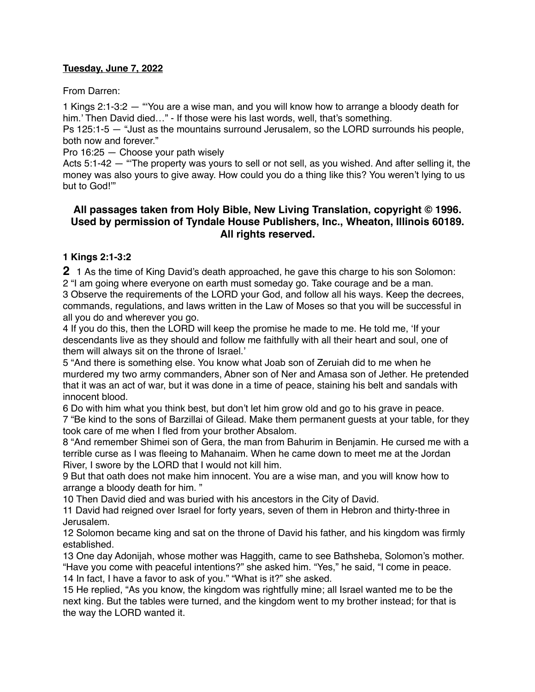#### **Tuesday, June 7, 2022**

From Darren:

1 Kings 2:1-3:2 — "'You are a wise man, and you will know how to arrange a bloody death for him.' Then David died..." - If those were his last words, well, that's something.

Ps 125:1-5 — "Just as the mountains surround Jerusalem, so the LORD surrounds his people, both now and forever."

Pro 16:25 — Choose your path wisely

Acts 5:1-42 — "'The property was yours to sell or not sell, as you wished. And after selling it, the money was also yours to give away. How could you do a thing like this? You weren't lying to us but to God!'"

# **All passages taken from Holy Bible, [New Living Translation](http://www.newlivingtranslation.com/), copyright © 1996. Used by permission of [Tyndale House Publishers](http://tyndale.com/), Inc., Wheaton, Illinois 60189. All rights reserved.**

#### **1 Kings 2:1-3:2**

**2** 1 As the time of King David's death approached, he gave this charge to his son Solomon: 2 "I am going where everyone on earth must someday go. Take courage and be a man.

3 Observe the requirements of the LORD your God, and follow all his ways. Keep the decrees, commands, regulations, and laws written in the Law of Moses so that you will be successful in all you do and wherever you go.

4 If you do this, then the LORD will keep the promise he made to me. He told me, 'If your descendants live as they should and follow me faithfully with all their heart and soul, one of them will always sit on the throne of Israel.'

5 "And there is something else. You know what Joab son of Zeruiah did to me when he murdered my two army commanders, Abner son of Ner and Amasa son of Jether. He pretended that it was an act of war, but it was done in a time of peace, staining his belt and sandals with innocent blood.

6 Do with him what you think best, but don't let him grow old and go to his grave in peace.

7 "Be kind to the sons of Barzillai of Gilead. Make them permanent guests at your table, for they took care of me when I fled from your brother Absalom.

8 "And remember Shimei son of Gera, the man from Bahurim in Benjamin. He cursed me with a terrible curse as I was fleeing to Mahanaim. When he came down to meet me at the Jordan River, I swore by the LORD that I would not kill him.

9 But that oath does not make him innocent. You are a wise man, and you will know how to arrange a bloody death for him. "

10 Then David died and was buried with his ancestors in the City of David.

11 David had reigned over Israel for forty years, seven of them in Hebron and thirty-three in Jerusalem.

12 Solomon became king and sat on the throne of David his father, and his kingdom was firmly established.

13 One day Adonijah, whose mother was Haggith, came to see Bathsheba, Solomon's mother. "Have you come with peaceful intentions?" she asked him. "Yes," he said, "I come in peace. 14 In fact, I have a favor to ask of you." "What is it?" she asked.

15 He replied, "As you know, the kingdom was rightfully mine; all Israel wanted me to be the next king. But the tables were turned, and the kingdom went to my brother instead; for that is the way the LORD wanted it.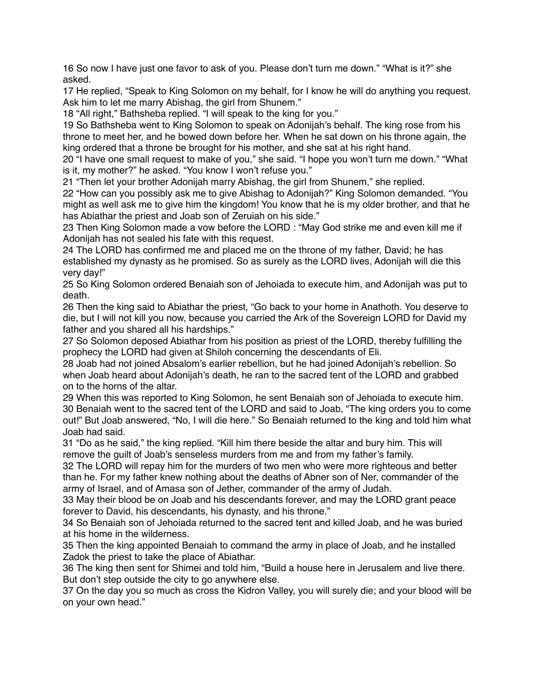16 So now I have just one favor to ask of you. Please don't turn me down." "What is it?" she asked.

17 He replied, "Speak to King Solomon on my behalf, for I know he will do anything you request. Ask him to let me marry Abishag, the girl from Shunem."

18 "All right," Bathsheba replied. "I will speak to the king for you."

19 So Bathsheba went to King Solomon to speak on Adonijah's behalf. The king rose from his throne to meet her, and he bowed down before her. When he sat down on his throne again, the king ordered that a throne be brought for his mother, and she sat at his right hand.

20 "I have one small request to make of you," she said. "I hope you won't turn me down." "What is it, my mother?" he asked. "You know I won't refuse you."

21 "Then let your brother Adonijah marry Abishag, the girl from Shunem," she replied.

22 "How can you possibly ask me to give Abishag to Adonijah?" King Solomon demanded. "You might as well ask me to give him the kingdom! You know that he is my older brother, and that he has Abiathar the priest and Joab son of Zeruiah on his side."

23 Then King Solomon made a vow before the LORD : "May God strike me and even kill me if Adonijah has not sealed his fate with this request.

24 The LORD has confirmed me and placed me on the throne of my father, David; he has established my dynasty as he promised. So as surely as the LORD lives, Adonijah will die this very day!"

25 So King Solomon ordered Benaiah son of Jehoiada to execute him, and Adonijah was put to death.

26 Then the king said to Abiathar the priest, "Go back to your home in Anathoth. You deserve to die, but I will not kill you now, because you carried the Ark of the Sovereign LORD for David my father and you shared all his hardships."

27 So Solomon deposed Abiathar from his position as priest of the LORD, thereby fulfilling the prophecy the LORD had given at Shiloh concerning the descendants of Eli.

28 Joab had not joined Absalom's earlier rebellion, but he had joined Adonijah's rebellion. So when Joab heard about Adonijah's death, he ran to the sacred tent of the LORD and grabbed on to the horns of the altar.

29 When this was reported to King Solomon, he sent Benaiah son of Jehoiada to execute him. 30 Benaiah went to the sacred tent of the LORD and said to Joab, "The king orders you to come out!" But Joab answered, "No, I will die here." So Benaiah returned to the king and told him what Joab had said.

31 "Do as he said," the king replied. "Kill him there beside the altar and bury him. This will remove the guilt of Joab's senseless murders from me and from my father's family.

32 The LORD will repay him for the murders of two men who were more righteous and better than he. For my father knew nothing about the deaths of Abner son of Ner, commander of the army of Israel, and of Amasa son of Jether, commander of the army of Judah.

33 May their blood be on Joab and his descendants forever, and may the LORD grant peace forever to David, his descendants, his dynasty, and his throne."

34 So Benaiah son of Jehoiada returned to the sacred tent and killed Joab, and he was buried at his home in the wilderness.

35 Then the king appointed Benaiah to command the army in place of Joab, and he installed Zadok the priest to take the place of Abiathar.

36 The king then sent for Shimei and told him, "Build a house here in Jerusalem and live there. But don't step outside the city to go anywhere else.

37 On the day you so much as cross the Kidron Valley, you will surely die; and your blood will be on your own head."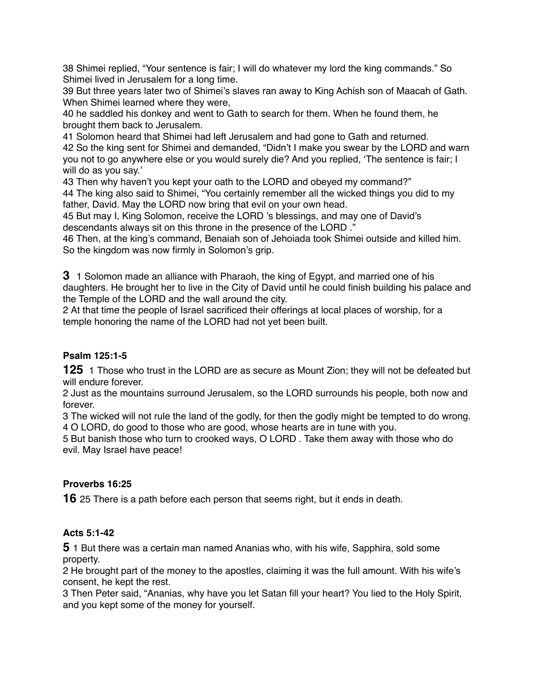38 Shimei replied, "Your sentence is fair; I will do whatever my lord the king commands." So Shimei lived in Jerusalem for a long time.

39 But three years later two of Shimei's slaves ran away to King Achish son of Maacah of Gath. When Shimei learned where they were,

40 he saddled his donkey and went to Gath to search for them. When he found them, he brought them back to Jerusalem.

41 Solomon heard that Shimei had left Jerusalem and had gone to Gath and returned. 42 So the king sent for Shimei and demanded, "Didn't I make you swear by the LORD and warn you not to go anywhere else or you would surely die? And you replied, 'The sentence is fair; I will do as you say.'

43 Then why haven't you kept your oath to the LORD and obeyed my command?"

44 The king also said to Shimei, "You certainly remember all the wicked things you did to my father, David. May the LORD now bring that evil on your own head.

45 But may I, King Solomon, receive the LORD 's blessings, and may one of David's descendants always sit on this throne in the presence of the LORD ."

46 Then, at the king's command, Benaiah son of Jehoiada took Shimei outside and killed him. So the kingdom was now firmly in Solomon's grip.

**3** 1 Solomon made an alliance with Pharaoh, the king of Egypt, and married one of his daughters. He brought her to live in the City of David until he could finish building his palace and the Temple of the LORD and the wall around the city.

2 At that time the people of Israel sacrificed their offerings at local places of worship, for a temple honoring the name of the LORD had not yet been built.

## **Psalm 125:1-5**

**125** 1 Those who trust in the LORD are as secure as Mount Zion; they will not be defeated but will endure forever.

2 Just as the mountains surround Jerusalem, so the LORD surrounds his people, both now and forever.

3 The wicked will not rule the land of the godly, for then the godly might be tempted to do wrong. 4 O LORD, do good to those who are good, whose hearts are in tune with you.

5 But banish those who turn to crooked ways, O LORD . Take them away with those who do evil. May Israel have peace!

## **Proverbs 16:25**

**16** 25 There is a path before each person that seems right, but it ends in death.

## **Acts 5:1-42**

**5** 1 But there was a certain man named Ananias who, with his wife, Sapphira, sold some property.

2 He brought part of the money to the apostles, claiming it was the full amount. With his wife's consent, he kept the rest.

3 Then Peter said, "Ananias, why have you let Satan fill your heart? You lied to the Holy Spirit, and you kept some of the money for yourself.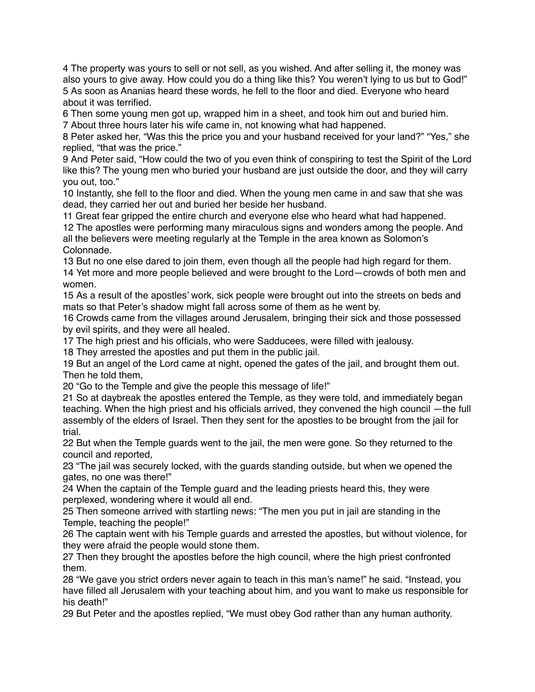4 The property was yours to sell or not sell, as you wished. And after selling it, the money was also yours to give away. How could you do a thing like this? You weren't lying to us but to God!" 5 As soon as Ananias heard these words, he fell to the floor and died. Everyone who heard about it was terrified.

6 Then some young men got up, wrapped him in a sheet, and took him out and buried him. 7 About three hours later his wife came in, not knowing what had happened.

8 Peter asked her, "Was this the price you and your husband received for your land?" "Yes," she replied, "that was the price."

9 And Peter said, "How could the two of you even think of conspiring to test the Spirit of the Lord like this? The young men who buried your husband are just outside the door, and they will carry you out, too."

10 Instantly, she fell to the floor and died. When the young men came in and saw that she was dead, they carried her out and buried her beside her husband.

11 Great fear gripped the entire church and everyone else who heard what had happened.

12 The apostles were performing many miraculous signs and wonders among the people. And all the believers were meeting regularly at the Temple in the area known as Solomon's Colonnade.

13 But no one else dared to join them, even though all the people had high regard for them. 14 Yet more and more people believed and were brought to the Lord—crowds of both men and women.

15 As a result of the apostles' work, sick people were brought out into the streets on beds and mats so that Peter's shadow might fall across some of them as he went by.

16 Crowds came from the villages around Jerusalem, bringing their sick and those possessed by evil spirits, and they were all healed.

17 The high priest and his officials, who were Sadducees, were filled with jealousy.

18 They arrested the apostles and put them in the public jail.

19 But an angel of the Lord came at night, opened the gates of the jail, and brought them out. Then he told them,

20 "Go to the Temple and give the people this message of life!"

21 So at daybreak the apostles entered the Temple, as they were told, and immediately began teaching. When the high priest and his officials arrived, they convened the high council —the full assembly of the elders of Israel. Then they sent for the apostles to be brought from the jail for trial.

22 But when the Temple guards went to the jail, the men were gone. So they returned to the council and reported,

23 "The jail was securely locked, with the guards standing outside, but when we opened the gates, no one was there!"

24 When the captain of the Temple guard and the leading priests heard this, they were perplexed, wondering where it would all end.

25 Then someone arrived with startling news: "The men you put in jail are standing in the Temple, teaching the people!"

26 The captain went with his Temple guards and arrested the apostles, but without violence, for they were afraid the people would stone them.

27 Then they brought the apostles before the high council, where the high priest confronted them.

28 "We gave you strict orders never again to teach in this man's name!" he said. "Instead, you have filled all Jerusalem with your teaching about him, and you want to make us responsible for his death!"

29 But Peter and the apostles replied, "We must obey God rather than any human authority.